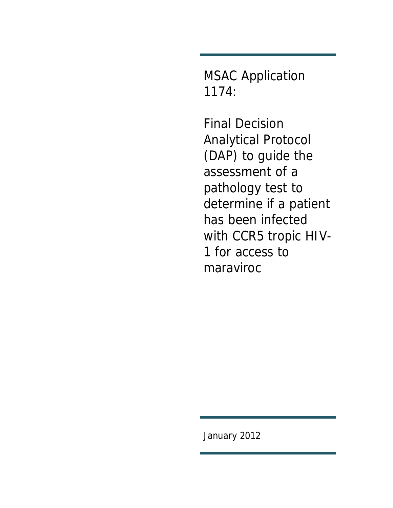MSAC Application 1174:

Final Decision Analytical Protocol (DAP) to guide the assessment of a pathology test to determine if a patient has been infected with CCR5 tropic HIV-1 for access to maraviroc

January 2012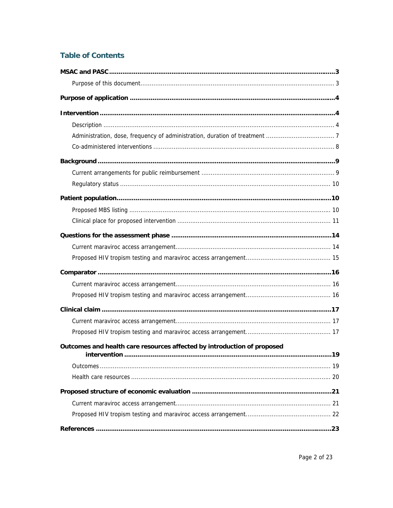# **Table of Contents**

| Outcomes and health care resources affected by introduction of proposed<br><u>Intervention ……………………………………………………………………………………………</u> | .19 |
|------------------------------------------------------------------------------------------------------------------------------------|-----|
|                                                                                                                                    |     |
|                                                                                                                                    |     |
|                                                                                                                                    |     |
|                                                                                                                                    |     |
|                                                                                                                                    |     |
|                                                                                                                                    |     |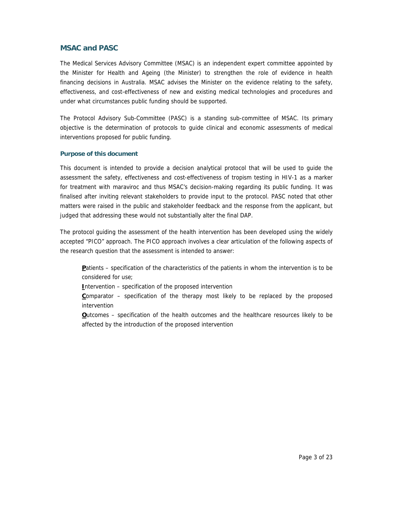## **MSAC and PASC**

The Medical Services Advisory Committee (MSAC) is an independent expert committee appointed by the Minister for Health and Ageing (the Minister) to strengthen the role of evidence in health financing decisions in Australia. MSAC advises the Minister on the evidence relating to the safety, effectiveness, and cost-effectiveness of new and existing medical technologies and procedures and under what circumstances public funding should be supported.

The Protocol Advisory Sub-Committee (PASC) is a standing sub-committee of MSAC. Its primary objective is the determination of protocols to guide clinical and economic assessments of medical interventions proposed for public funding.

## **Purpose of this document**

This document is intended to provide a decision analytical protocol that will be used to guide the assessment the safety, effectiveness and cost-effectiveness of tropism testing in HIV-1 as a marker for treatment with maraviroc and thus MSAC's decision-making regarding its public funding. It was finalised after inviting relevant stakeholders to provide input to the protocol. PASC noted that other matters were raised in the public and stakeholder feedback and the response from the applicant, but judged that addressing these would not substantially alter the final DAP.

The protocol guiding the assessment of the health intervention has been developed using the widely accepted "PICO" approach. The PICO approach involves a clear articulation of the following aspects of the research question that the assessment is intended to answer:

**P**atients – specification of the characteristics of the patients in whom the intervention is to be considered for use;

**I**ntervention – specification of the proposed intervention

**C**omparator – specification of the therapy most likely to be replaced by the proposed intervention

**O**utcomes – specification of the health outcomes and the healthcare resources likely to be affected by the introduction of the proposed intervention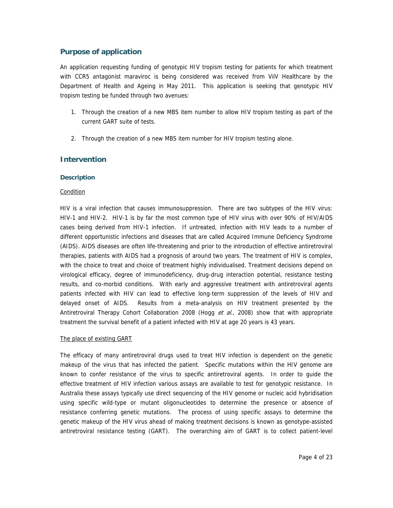## **Purpose of application**

An application requesting funding of genotypic HIV tropism testing for patients for which treatment with CCR5 antagonist maraviroc is being considered was received from ViiV Healthcare by the Department of Health and Ageing in May 2011. This application is seeking that genotypic HIV tropism testing be funded through two avenues:

- 1. Through the creation of a new MBS item number to allow HIV tropism testing as part of the current GART suite of tests.
- 2. Through the creation of a new MBS item number for HIV tropism testing alone.

## **Intervention**

## **Description**

## Condition

HIV is a viral infection that causes immunosuppression. There are two subtypes of the HIV virus: HIV-1 and HIV-2. HIV-1 is by far the most common type of HIV virus with over 90% of HIV/AIDS cases being derived from HIV-1 infection. If untreated, infection with HIV leads to a number of different opportunistic infections and diseases that are called Acquired Immune Deficiency Syndrome (AIDS). AIDS diseases are often life-threatening and prior to the introduction of effective antiretroviral therapies, patients with AIDS had a prognosis of around two years. The treatment of HIV is complex, with the choice to treat and choice of treatment highly individualised. Treatment decisions depend on virological efficacy, degree of immunodeficiency, drug-drug interaction potential, resistance testing results, and co-morbid conditions. With early and aggressive treatment with antiretroviral agents patients infected with HIV can lead to effective long-term suppression of the levels of HIV and delayed onset of AIDS. Results from a meta-analysis on HIV treatment presented by the Antiretroviral Therapy Cohort Collaboration 2008 (Hogg et al., 2008) show that with appropriate treatment the survival benefit of a patient infected with HIV at age 20 years is 43 years.

## The place of existing GART

The efficacy of many antiretroviral drugs used to treat HIV infection is dependent on the genetic makeup of the virus that has infected the patient. Specific mutations within the HIV genome are known to confer resistance of the virus to specific antiretroviral agents. In order to guide the effective treatment of HIV infection various assays are available to test for genotypic resistance. In Australia these assays typically use direct sequencing of the HIV genome or nucleic acid hybridisation using specific wild-type or mutant oligonucleotides to determine the presence or absence of resistance conferring genetic mutations. The process of using specific assays to determine the genetic makeup of the HIV virus ahead of making treatment decisions is known as genotype-assisted antiretroviral resistance testing (GART). The overarching aim of GART is to collect patient-level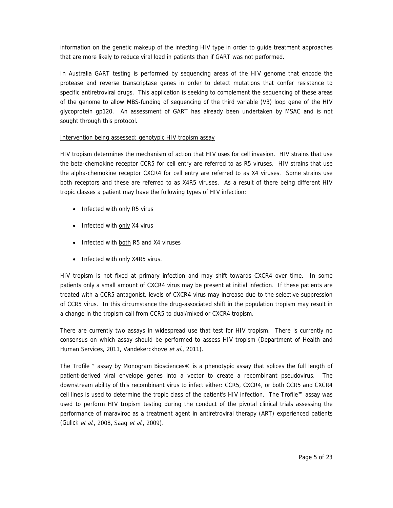information on the genetic makeup of the infecting HIV type in order to guide treatment approaches that are more likely to reduce viral load in patients than if GART was not performed.

In Australia GART testing is performed by sequencing areas of the HIV genome that encode the protease and reverse transcriptase genes in order to detect mutations that confer resistance to specific antiretroviral drugs. This application is seeking to complement the sequencing of these areas of the genome to allow MBS-funding of sequencing of the third variable (V3) loop gene of the HIV glycoprotein gp120. An assessment of GART has already been undertaken by MSAC and is not sought through this protocol.

## Intervention being assessed: genotypic HIV tropism assay

HIV tropism determines the mechanism of action that HIV uses for cell invasion. HIV strains that use the beta-chemokine receptor CCR5 for cell entry are referred to as R5 viruses. HIV strains that use the alpha-chemokine receptor CXCR4 for cell entry are referred to as X4 viruses. Some strains use both receptors and these are referred to as X4R5 viruses. As a result of there being different HIV tropic classes a patient may have the following types of HIV infection:

- Infected with only R5 virus
- Infected with only X4 virus
- Infected with both R5 and X4 viruses
- Infected with only X4R5 virus.

HIV tropism is not fixed at primary infection and may shift towards CXCR4 over time. In some patients only a small amount of CXCR4 virus may be present at initial infection. If these patients are treated with a CCR5 antagonist, levels of CXCR4 virus may increase due to the selective suppression of CCR5 virus. In this circumstance the drug-associated shift in the population tropism may result in a change in the tropism call from CCR5 to dual/mixed or CXCR4 tropism.

There are currently two assays in widespread use that test for HIV tropism. There is currently no consensus on which assay should be performed to assess HIV tropism (Department of Health and Human Services, 2011, Vandekerckhove et al., 2011).

The Trofile™ assay by Monogram Biosciences® is a phenotypic assay that splices the full length of patient-derived viral envelope genes into a vector to create a recombinant pseudovirus. The downstream ability of this recombinant virus to infect either: CCR5, CXCR4, or both CCR5 and CXCR4 cell lines is used to determine the tropic class of the patient's HIV infection. The Trofile™ assay was used to perform HIV tropism testing during the conduct of the pivotal clinical trials assessing the performance of maraviroc as a treatment agent in antiretroviral therapy (ART) experienced patients (Gulick et al., 2008, Saag et al., 2009).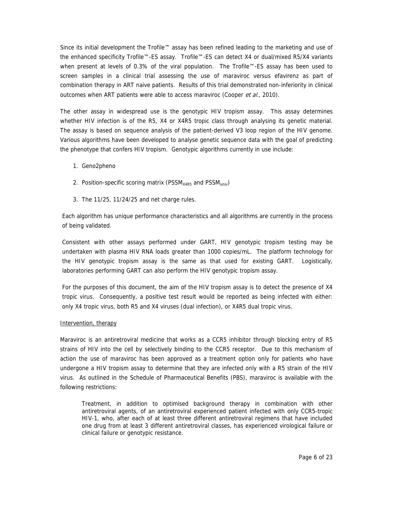Since its initial development the Trofile™ assay has been refined leading to the marketing and use of the enhanced specificity Trofile™-ES assay. Trofile™-ES can detect X4 or dual/mixed R5/X4 variants when present at levels of 0.3% of the viral population. The Trofile™-ES assay has been used to screen samples in a clinical trial assessing the use of maraviroc versus efavirenz as part of combination therapy in ART naive patients. Results of this trial demonstrated non-inferiority in clinical outcomes when ART patients were able to access maraviroc (Cooper et al., 2010).

The other assay in widespread use is the genotypic HIV tropism assay. This assay determines whether HIV infection is of the R5, X4 or X4R5 tropic class through analysing its genetic material. The assay is based on sequence analysis of the patient-derived V3 loop region of the HIV genome. Various algorithms have been developed to analyse genetic sequence data with the goal of predicting the phenotype that confers HIV tropism. Genotypic algorithms currently in use include:

- 1. Geno2pheno
- 2. Position-specific scoring matrix ( $\text{PSSM}_{\text{X4R5}}$  and  $\text{PSSM}_{\text{sinsi}}$ )
- 3. The 11/25, 11/24/25 and net charge rules.

Each algorithm has unique performance characteristics and all algorithms are currently in the process of being validated.

Consistent with other assays performed under GART, HIV genotypic tropism testing may be undertaken with plasma HIV RNA loads greater than 1000 copies/mL. The platform technology for the HIV genotypic tropism assay is the same as that used for existing GART. Logistically, laboratories performing GART can also perform the HIV genotypic tropism assay.

For the purposes of this document, the aim of the HIV tropism assay is to detect the presence of X4 tropic virus. Consequently, a positive test result would be reported as being infected with either: only X4 tropic virus, both R5 and X4 viruses (dual infection), or X4R5 dual tropic virus.

## Intervention, therapy

Maraviroc is an antiretroviral medicine that works as a CCR5 inhibitor through blocking entry of R5 strains of HIV into the cell by selectively binding to the CCR5 receptor. Due to this mechanism of action the use of maraviroc has been approved as a treatment option only for patients who have undergone a HIV tropism assay to determine that they are infected only with a R5 strain of the HIV virus. As outlined in the Schedule of Pharmaceutical Benefits (PBS), maraviroc is available with the following restrictions:

Treatment, in addition to optimised background therapy in combination with other antiretroviral agents, of an antiretroviral experienced patient infected with only CCR5-tropic HIV-1, who, after each of at least three different antiretroviral regimens that have included one drug from at least 3 different antiretroviral classes, has experienced virological failure or clinical failure or genotypic resistance.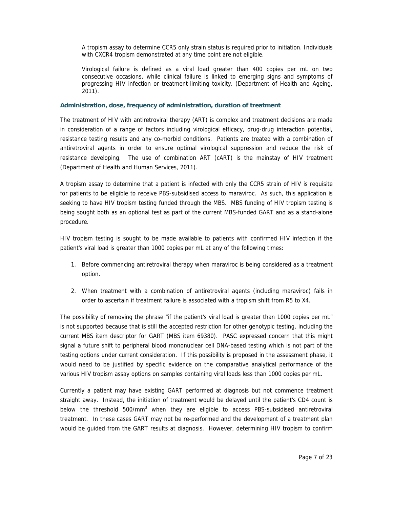A tropism assay to determine CCR5 only strain status is required prior to initiation. Individuals with CXCR4 tropism demonstrated at any time point are not eligible.

Virological failure is defined as a viral load greater than 400 copies per mL on two consecutive occasions, while clinical failure is linked to emerging signs and symptoms of progressing HIV infection or treatment-limiting toxicity. (Department of Health and Ageing, 2011).

#### **Administration, dose, frequency of administration, duration of treatment**

The treatment of HIV with antiretroviral therapy (ART) is complex and treatment decisions are made in consideration of a range of factors including virological efficacy, drug-drug interaction potential, resistance testing results and any co-morbid conditions. Patients are treated with a combination of antiretroviral agents in order to ensure optimal virological suppression and reduce the risk of resistance developing. The use of combination ART (cART) is the mainstay of HIV treatment (Department of Health and Human Services, 2011).

A tropism assay to determine that a patient is infected with only the CCR5 strain of HIV is requisite for patients to be eligible to receive PBS-subsidised access to maraviroc. As such, this application is seeking to have HIV tropism testing funded through the MBS. MBS funding of HIV tropism testing is being sought both as an optional test as part of the current MBS-funded GART and as a stand-alone procedure.

HIV tropism testing is sought to be made available to patients with confirmed HIV infection if the patient's viral load is greater than 1000 copies per mL at any of the following times:

- 1. Before commencing antiretroviral therapy when maraviroc is being considered as a treatment option.
- 2. When treatment with a combination of antiretroviral agents (including maraviroc) fails in order to ascertain if treatment failure is associated with a tropism shift from R5 to X4.

The possibility of removing the phrase "if the patient's viral load is greater than 1000 copies per mL" is not supported because that is still the accepted restriction for other genotypic testing, including the current MBS item descriptor for GART (MBS item 69380). PASC expressed concern that this might signal a future shift to peripheral blood mononuclear cell DNA-based testing which is not part of the testing options under current consideration. If this possibility is proposed in the assessment phase, it would need to be justified by specific evidence on the comparative analytical performance of the various HIV tropism assay options on samples containing viral loads less than 1000 copies per mL.

Currently a patient may have existing GART performed at diagnosis but not commence treatment straight away. Instead, the initiation of treatment would be delayed until the patient's CD4 count is below the threshold 500/mm<sup>3</sup> when they are eligible to access PBS-subsidised antiretroviral treatment. In these cases GART may not be re-performed and the development of a treatment plan would be guided from the GART results at diagnosis. However, determining HIV tropism to confirm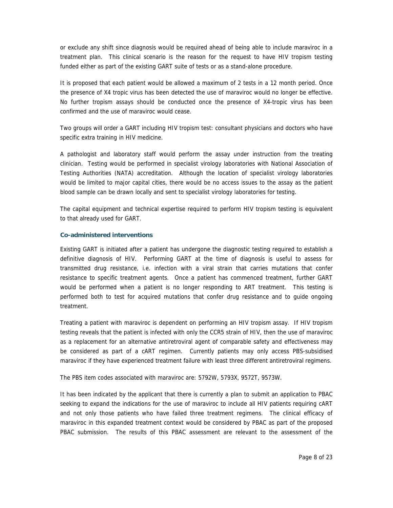or exclude any shift since diagnosis would be required ahead of being able to include maraviroc in a treatment plan. This clinical scenario is the reason for the request to have HIV tropism testing funded either as part of the existing GART suite of tests or as a stand-alone procedure.

It is proposed that each patient would be allowed a maximum of 2 tests in a 12 month period. Once the presence of X4 tropic virus has been detected the use of maraviroc would no longer be effective. No further tropism assays should be conducted once the presence of X4-tropic virus has been confirmed and the use of maraviroc would cease.

Two groups will order a GART including HIV tropism test: consultant physicians and doctors who have specific extra training in HIV medicine.

A pathologist and laboratory staff would perform the assay under instruction from the treating clinician. Testing would be performed in specialist virology laboratories with National Association of Testing Authorities (NATA) accreditation. Although the location of specialist virology laboratories would be limited to major capital cities, there would be no access issues to the assay as the patient blood sample can be drawn locally and sent to specialist virology laboratories for testing.

The capital equipment and technical expertise required to perform HIV tropism testing is equivalent to that already used for GART.

## **Co-administered interventions**

Existing GART is initiated after a patient has undergone the diagnostic testing required to establish a definitive diagnosis of HIV. Performing GART at the time of diagnosis is useful to assess for transmitted drug resistance, i.e. infection with a viral strain that carries mutations that confer resistance to specific treatment agents. Once a patient has commenced treatment, further GART would be performed when a patient is no longer responding to ART treatment. This testing is performed both to test for acquired mutations that confer drug resistance and to guide ongoing treatment.

Treating a patient with maraviroc is dependent on performing an HIV tropism assay. If HIV tropism testing reveals that the patient is infected with only the CCR5 strain of HIV, then the use of maraviroc as a replacement for an alternative antiretroviral agent of comparable safety and effectiveness may be considered as part of a cART regimen. Currently patients may only access PBS-subsidised maraviroc if they have experienced treatment failure with least three different antiretroviral regimens.

The PBS item codes associated with maraviroc are: 5792W, 5793X, 9572T, 9573W.

It has been indicated by the applicant that there is currently a plan to submit an application to PBAC seeking to expand the indications for the use of maraviroc to include all HIV patients requiring cART and not only those patients who have failed three treatment regimens. The clinical efficacy of maraviroc in this expanded treatment context would be considered by PBAC as part of the proposed PBAC submission. The results of this PBAC assessment are relevant to the assessment of the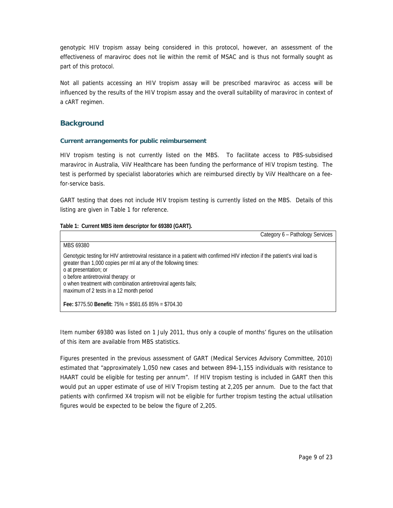genotypic HIV tropism assay being considered in this protocol, however, an assessment of the effectiveness of maraviroc does not lie within the remit of MSAC and is thus not formally sought as part of this protocol.

Not all patients accessing an HIV tropism assay will be prescribed maraviroc as access will be influenced by the results of the HIV tropism assay and the overall suitability of maraviroc in context of a cART regimen.

## **Background**

## **Current arrangements for public reimbursement**

HIV tropism testing is not currently listed on the MBS. To facilitate access to PBS-subsidised maraviroc in Australia, ViiV Healthcare has been funding the performance of HIV tropism testing. The test is performed by specialist laboratories which are reimbursed directly by ViiV Healthcare on a feefor-service basis.

GART testing that does not include HIV tropism testing is currently listed on the MBS. Details of this listing are given in Table 1 for reference.

## **Table 1: Current MBS item descriptor for 69380 (GART).**

| Category 6 - Pathology Services                                                                                                                                                                                                                                                                                                                                              |
|------------------------------------------------------------------------------------------------------------------------------------------------------------------------------------------------------------------------------------------------------------------------------------------------------------------------------------------------------------------------------|
| MBS 69380                                                                                                                                                                                                                                                                                                                                                                    |
| Genotypic testing for HIV antiretroviral resistance in a patient with confirmed HIV infection if the patient's viral load is<br>greater than 1,000 copies per ml at any of the following times:<br>o at presentation; or<br>o before antiretroviral therapy: or<br>o when treatment with combination antiretroviral agents fails;<br>maximum of 2 tests in a 12 month period |
| Fee: $$775.50$ Benefit: $75\% = $581.6585\% = $704.30$                                                                                                                                                                                                                                                                                                                       |

Item number 69380 was listed on 1 July 2011, thus only a couple of months' figures on the utilisation of this item are available from MBS statistics.

Figures presented in the previous assessment of GART (Medical Services Advisory Committee, 2010) estimated that "approximately 1,050 new cases and between 894-1,155 individuals with resistance to HAART could be eligible for testing per annum". If HIV tropism testing is included in GART then this would put an upper estimate of use of HIV Tropism testing at 2,205 per annum. Due to the fact that patients with confirmed X4 tropism will not be eligible for further tropism testing the actual utilisation figures would be expected to be below the figure of 2,205.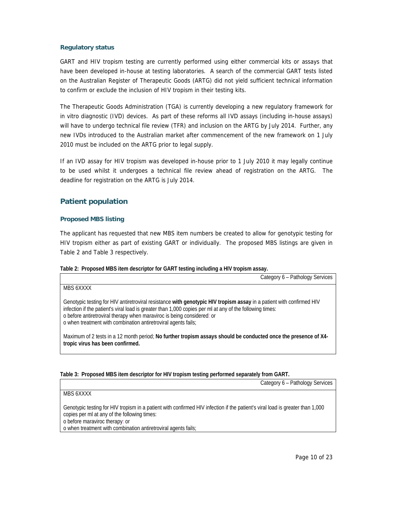## **Regulatory status**

GART and HIV tropism testing are currently performed using either commercial kits or assays that have been developed in-house at testing laboratories. A search of the commercial GART tests listed on the Australian Register of Therapeutic Goods (ARTG) did not yield sufficient technical information to confirm or exclude the inclusion of HIV tropism in their testing kits.

The Therapeutic Goods Administration (TGA) is currently developing a new regulatory framework for in vitro diagnostic (IVD) devices. As part of these reforms all IVD assays (including in-house assays) will have to undergo technical file review (TFR) and inclusion on the ARTG by July 2014. Further, any new IVDs introduced to the Australian market after commencement of the new framework on 1 July 2010 must be included on the ARTG prior to legal supply.

If an IVD assay for HIV tropism was developed in-house prior to 1 July 2010 it may legally continue to be used whilst it undergoes a technical file review ahead of registration on the ARTG. The deadline for registration on the ARTG is July 2014.

## **Patient population**

## **Proposed MBS listing**

The applicant has requested that new MBS item numbers be created to allow for genotypic testing for HIV tropism either as part of existing GART or individually. The proposed MBS listings are given in Table 2 and Table 3 respectively.

## **Table 2: Proposed MBS item descriptor for GART testing including a HIV tropism assay.**

| Category 6 - Pathology Services                                                                                                                                                                                                                                                                                                                                              |
|------------------------------------------------------------------------------------------------------------------------------------------------------------------------------------------------------------------------------------------------------------------------------------------------------------------------------------------------------------------------------|
| MBS 6XXXX                                                                                                                                                                                                                                                                                                                                                                    |
| Genotypic testing for HIV antiretroviral resistance with genotypic HIV tropism assay in a patient with confirmed HIV<br>infection if the patient's viral load is greater than 1,000 copies per ml at any of the following times:<br>o before antiretroviral therapy when maraviroc is being considered: or<br>o when treatment with combination antiretroviral agents fails; |
| Maximum of 2 tests in a 12 month period; No further tropism assays should be conducted once the presence of X4-<br>tropic virus has been confirmed.                                                                                                                                                                                                                          |

|  |  |  |  | Table 3: Proposed MBS item descriptor for HIV tropism testing performed separately from GART. |
|--|--|--|--|-----------------------------------------------------------------------------------------------|
|  |  |  |  |                                                                                               |
|  |  |  |  |                                                                                               |
|  |  |  |  |                                                                                               |

Category 6 – Pathology Services

MBS 6XXXX

Genotypic testing for HIV tropism in a patient with confirmed HIV infection if the patient's viral load is greater than 1,000 copies per ml at any of the following times:

o before maraviroc therapy: or

o when treatment with combination antiretroviral agents fails;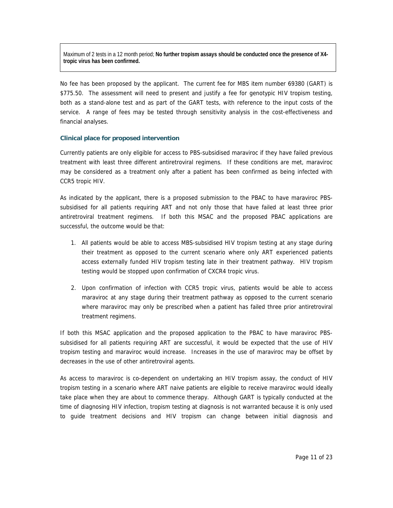Maximum of 2 tests in a 12 month period; **No further tropism assays should be conducted once the presence of X4 tropic virus has been confirmed.**

No fee has been proposed by the applicant. The current fee for MBS item number 69380 (GART) is \$775.50. The assessment will need to present and justify a fee for genotypic HIV tropism testing, both as a stand-alone test and as part of the GART tests, with reference to the input costs of the service. A range of fees may be tested through sensitivity analysis in the cost-effectiveness and financial analyses.

#### **Clinical place for proposed intervention**

Currently patients are only eligible for access to PBS-subsidised maraviroc if they have failed previous treatment with least three different antiretroviral regimens. If these conditions are met, maraviroc may be considered as a treatment only after a patient has been confirmed as being infected with CCR5 tropic HIV.

As indicated by the applicant, there is a proposed submission to the PBAC to have maraviroc PBSsubsidised for all patients requiring ART and not only those that have failed at least three prior antiretroviral treatment regimens. If both this MSAC and the proposed PBAC applications are successful, the outcome would be that:

- 1. All patients would be able to access MBS-subsidised HIV tropism testing at any stage during their treatment as opposed to the current scenario where only ART experienced patients access externally funded HIV tropism testing late in their treatment pathway. HIV tropism testing would be stopped upon confirmation of CXCR4 tropic virus.
- 2. Upon confirmation of infection with CCR5 tropic virus, patients would be able to access maraviroc at any stage during their treatment pathway as opposed to the current scenario where maraviroc may only be prescribed when a patient has failed three prior antiretroviral treatment regimens.

If both this MSAC application and the proposed application to the PBAC to have maraviroc PBSsubsidised for all patients requiring ART are successful, it would be expected that the use of HIV tropism testing and maraviroc would increase. Increases in the use of maraviroc may be offset by decreases in the use of other antiretroviral agents.

As access to maraviroc is co-dependent on undertaking an HIV tropism assay, the conduct of HIV tropism testing in a scenario where ART naive patients are eligible to receive maraviroc would ideally take place when they are about to commence therapy. Although GART is typically conducted at the time of diagnosing HIV infection, tropism testing at diagnosis is not warranted because it is only used to guide treatment decisions and HIV tropism can change between initial diagnosis and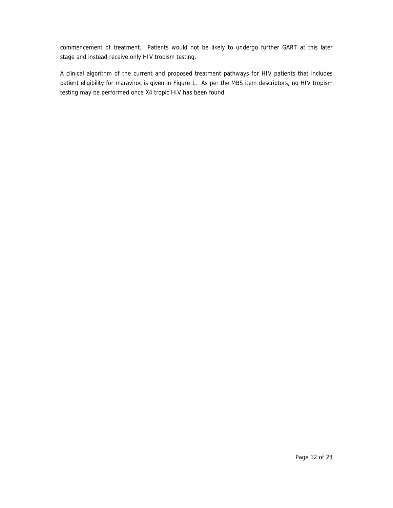commencement of treatment. Patients would not be likely to undergo further GART at this later stage and instead receive only HIV tropism testing.

A clinical algorithm of the current and proposed treatment pathways for HIV patients that includes patient eligibility for maraviroc is given in Figure 1. As per the MBS item descriptors, no HIV tropism testing may be performed once X4 tropic HIV has been found.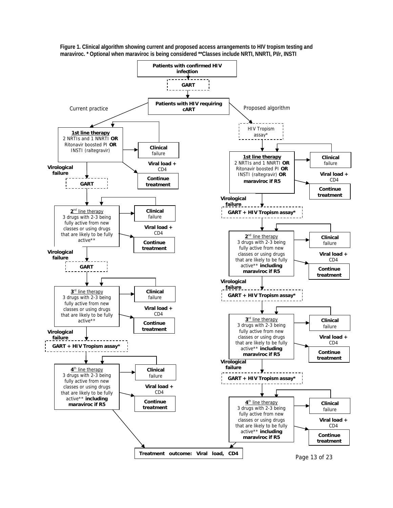

**Figure 1. Clinical algorithm showing current and proposed access arrangements to HIV tropism testing and maraviroc. \* Optional when maraviroc is being considered \*\*Classes include NRTI, NNRTI, PI/r, INSTI**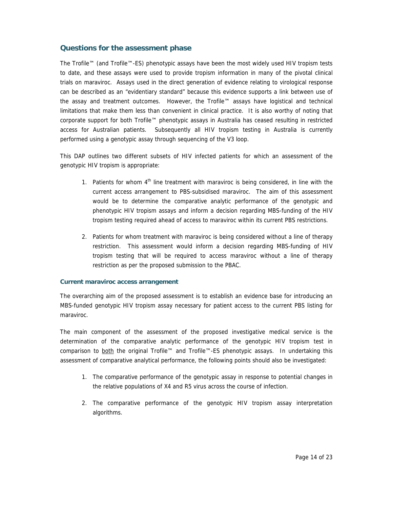## **Questions for the assessment phase**

The Trofile™ (and Trofile™-ES) phenotypic assays have been the most widely used HIV tropism tests to date, and these assays were used to provide tropism information in many of the pivotal clinical trials on maraviroc. Assays used in the direct generation of evidence relating to virological response can be described as an "evidentiary standard" because this evidence supports a link between use of the assay and treatment outcomes. However, the Trofile™ assays have logistical and technical limitations that make them less than convenient in clinical practice. It is also worthy of noting that corporate support for both Trofile™ phenotypic assays in Australia has ceased resulting in restricted access for Australian patients. Subsequently all HIV tropism testing in Australia is currently performed using a genotypic assay through sequencing of the V3 loop.

This DAP outlines two different subsets of HIV infected patients for which an assessment of the genotypic HIV tropism is appropriate:

- 1. Patients for whom 4<sup>th</sup> line treatment with maraviroc is being considered, in line with the current access arrangement to PBS-subsidised maraviroc. The aim of this assessment would be to determine the comparative analytic performance of the genotypic and phenotypic HIV tropism assays and inform a decision regarding MBS-funding of the HIV tropism testing required ahead of access to maraviroc within its current PBS restrictions.
- 2. Patients for whom treatment with maraviroc is being considered without a line of therapy restriction. This assessment would inform a decision regarding MBS-funding of HIV tropism testing that will be required to access maraviroc without a line of therapy restriction as per the proposed submission to the PBAC.

## **Current maraviroc access arrangement**

The overarching aim of the proposed assessment is to establish an evidence base for introducing an MBS-funded genotypic HIV tropism assay necessary for patient access to the current PBS listing for maraviroc.

The main component of the assessment of the proposed investigative medical service is the determination of the comparative analytic performance of the genotypic HIV tropism test in comparison to both the original Trofile™ and Trofile™-ES phenotypic assays. In undertaking this assessment of comparative analytical performance, the following points should also be investigated:

- 1. The comparative performance of the genotypic assay in response to potential changes in the relative populations of X4 and R5 virus across the course of infection.
- 2. The comparative performance of the genotypic HIV tropism assay interpretation algorithms.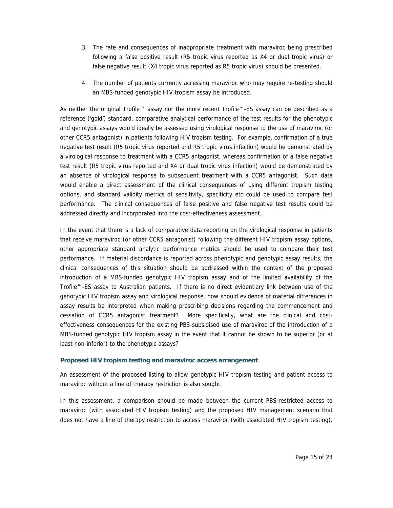- 3. The rate and consequences of inappropriate treatment with maraviroc being prescribed following a false positive result (R5 tropic virus reported as X4 or dual tropic virus) or false negative result (X4 tropic virus reported as R5 tropic virus) should be presented.
- 4. The number of patients currently accessing maraviroc who may require re-testing should an MBS-funded genotypic HIV tropism assay be introduced.

As neither the original Trofile™ assay nor the more recent Trofile™-ES assay can be described as a reference ('gold') standard, comparative analytical performance of the test results for the phenotypic and genotypic assays would ideally be assessed using virological response to the use of maraviroc (or other CCR5 antagonist) in patients following HIV tropism testing. For example, confirmation of a true negative test result (R5 tropic virus reported and R5 tropic virus infection) would be demonstrated by a virological response to treatment with a CCR5 antagonist, whereas confirmation of a false negative test result (R5 tropic virus reported and X4 or dual tropic virus infection) would be demonstrated by an absence of virological response to subsequent treatment with a CCR5 antagonist. Such data would enable a direct assessment of the clinical consequences of using different tropism testing options, and standard validity metrics of sensitivity, specificity etc could be used to compare test performance. The clinical consequences of false positive and false negative test results could be addressed directly and incorporated into the cost-effectiveness assessment.

In the event that there is a lack of comparative data reporting on the virological response in patients that receive maraviroc (or other CCR5 antagonist) following the different HIV tropism assay options, other appropriate standard analytic performance metrics should be used to compare their test performance. If material discordance is reported across phenotypic and genotypic assay results, the clinical consequences of this situation should be addressed within the context of the proposed introduction of a MBS-funded genotypic HIV tropism assay and of the limited availability of the Trofile™-ES assay to Australian patients. If there is no direct evidentiary link between use of the genotypic HIV tropism assay and virological response, how should evidence of material differences in assay results be interpreted when making prescribing decisions regarding the commencement and cessation of CCR5 antagonist treatment? More specifically, what are the clinical and costeffectiveness consequences for the existing PBS-subsidised use of maraviroc of the introduction of a MBS-funded genotypic HIV tropism assay in the event that it cannot be shown to be superior (or at least non-inferior) to the phenotypic assays?

## **Proposed HIV tropism testing and maraviroc access arrangement**

An assessment of the proposed listing to allow genotypic HIV tropism testing and patient access to maraviroc without a line of therapy restriction is also sought.

In this assessment, a comparison should be made between the current PBS-restricted access to maraviroc (with associated HIV tropism testing) and the proposed HIV management scenario that does not have a line of therapy restriction to access maraviroc (with associated HIV tropism testing).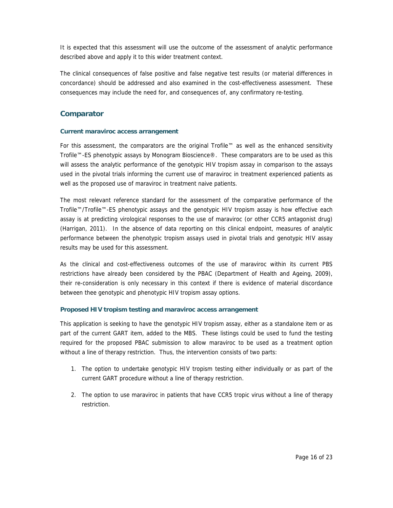It is expected that this assessment will use the outcome of the assessment of analytic performance described above and apply it to this wider treatment context.

The clinical consequences of false positive and false negative test results (or material differences in concordance) should be addressed and also examined in the cost-effectiveness assessment. These consequences may include the need for, and consequences of, any confirmatory re-testing.

## **Comparator**

## **Current maraviroc access arrangement**

For this assessment, the comparators are the original Trofile™ as well as the enhanced sensitivity Trofile™-ES phenotypic assays by Monogram Bioscience®. These comparators are to be used as this will assess the analytic performance of the genotypic HIV tropism assay in comparison to the assays used in the pivotal trials informing the current use of maraviroc in treatment experienced patients as well as the proposed use of maraviroc in treatment naive patients.

The most relevant reference standard for the assessment of the comparative performance of the Trofile™/Trofile™-ES phenotypic assays and the genotypic HIV tropism assay is how effective each assay is at predicting virological responses to the use of maraviroc (or other CCR5 antagonist drug) (Harrigan, 2011). In the absence of data reporting on this clinical endpoint, measures of analytic performance between the phenotypic tropism assays used in pivotal trials and genotypic HIV assay results may be used for this assessment.

As the clinical and cost-effectiveness outcomes of the use of maraviroc within its current PBS restrictions have already been considered by the PBAC (Department of Health and Ageing, 2009), their re-consideration is only necessary in this context if there is evidence of material discordance between thee genotypic and phenotypic HIV tropism assay options.

## **Proposed HIV tropism testing and maraviroc access arrangement**

This application is seeking to have the genotypic HIV tropism assay, either as a standalone item or as part of the current GART item, added to the MBS. These listings could be used to fund the testing required for the proposed PBAC submission to allow maraviroc to be used as a treatment option without a line of therapy restriction. Thus, the intervention consists of two parts:

- 1. The option to undertake genotypic HIV tropism testing either individually or as part of the current GART procedure without a line of therapy restriction.
- 2. The option to use maraviroc in patients that have CCR5 tropic virus without a line of therapy restriction.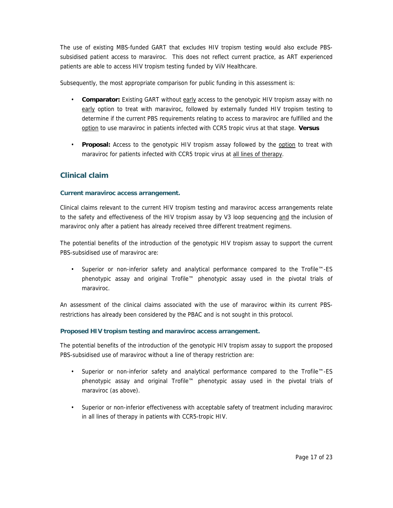The use of existing MBS-funded GART that excludes HIV tropism testing would also exclude PBSsubsidised patient access to maraviroc. This does not reflect current practice, as ART experienced patients are able to access HIV tropism testing funded by ViiV Healthcare.

Subsequently, the most appropriate comparison for public funding in this assessment is:

- **Comparator:** Existing GART without early access to the genotypic HIV tropism assay with no early option to treat with maraviroc, followed by externally funded HIV tropism testing to determine if the current PBS requirements relating to access to maraviroc are fulfilled and the option to use maraviroc in patients infected with CCR5 tropic virus at that stage. **Versus**
- **Proposal:** Access to the genotypic HIV tropism assay followed by the option to treat with maraviroc for patients infected with CCR5 tropic virus at all lines of therapy.

## **Clinical claim**

## **Current maraviroc access arrangement.**

Clinical claims relevant to the current HIV tropism testing and maraviroc access arrangements relate to the safety and effectiveness of the HIV tropism assay by V3 loop sequencing and the inclusion of maraviroc only after a patient has already received three different treatment regimens.

The potential benefits of the introduction of the genotypic HIV tropism assay to support the current PBS-subsidised use of maraviroc are:

• Superior or non-inferior safety and analytical performance compared to the Trofile™-ES phenotypic assay and original Trofile™ phenotypic assay used in the pivotal trials of maraviroc.

An assessment of the clinical claims associated with the use of maraviroc within its current PBSrestrictions has already been considered by the PBAC and is not sought in this protocol.

## **Proposed HIV tropism testing and maraviroc access arrangement.**

The potential benefits of the introduction of the genotypic HIV tropism assay to support the proposed PBS-subsidised use of maraviroc without a line of therapy restriction are:

- Superior or non-inferior safety and analytical performance compared to the Trofile™-ES phenotypic assay and original Trofile™ phenotypic assay used in the pivotal trials of maraviroc (as above).
- Superior or non-inferior effectiveness with acceptable safety of treatment including maraviroc in all lines of therapy in patients with CCR5-tropic HIV.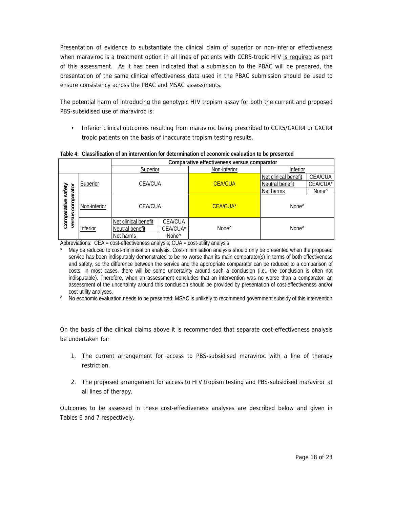Presentation of evidence to substantiate the clinical claim of superior or non-inferior effectiveness when maraviroc is a treatment option in all lines of patients with CCR5-tropic HIV is required as part of this assessment. As it has been indicated that a submission to the PBAC will be prepared, the presentation of the same clinical effectiveness data used in the PBAC submission should be used to ensure consistency across the PBAC and MSAC assessments.

The potential harm of introducing the genotypic HIV tropism assay for both the current and proposed PBS-subsidised use of maraviroc is:

• Inferior clinical outcomes resulting from maraviroc being prescribed to CCR5/CXCR4 or CXCR4 tropic patients on the basis of inaccurate tropism testing results.

|                           |              | Comparative effectiveness versus comparator |                   |                   |                      |                   |  |  |  |
|---------------------------|--------------|---------------------------------------------|-------------------|-------------------|----------------------|-------------------|--|--|--|
|                           |              | Superior                                    |                   | Non-inferior      | Inferior             |                   |  |  |  |
|                           |              |                                             |                   |                   | Net clinical benefit | CEA/CUA           |  |  |  |
|                           | Superior     | <b>CEA/CUA</b>                              |                   | <b>CEA/CUA</b>    | Neutral benefit      | CEA/CUA*          |  |  |  |
| safety                    |              |                                             |                   |                   | Net harms            | None <sup>^</sup> |  |  |  |
| comparator<br>Comparative | Non-inferior | <b>CEA/CUA</b>                              |                   | <b>CEA/CUA*</b>   | None <sup>^</sup>    |                   |  |  |  |
| versus                    |              | Net clinical benefit                        | <b>CEA/CUA</b>    |                   | None <sup>^</sup>    |                   |  |  |  |
|                           | Inferior     | Neutral benefit                             | CEA/CUA*          | None <sup>^</sup> |                      |                   |  |  |  |
|                           |              | Net harms                                   | None <sup>^</sup> |                   |                      |                   |  |  |  |

**Table 4: Classification of an intervention for determination of economic evaluation to be presented** 

Abbreviations: CEA = cost-effectiveness analysis; CUA = cost-utility analysis

May be reduced to cost-minimisation analysis. Cost-minimisation analysis should only be presented when the proposed service has been indisputably demonstrated to be no worse than its main comparator(s) in terms of both effectiveness and safety, so the difference between the service and the appropriate comparator can be reduced to a comparison of costs. In most cases, there will be some uncertainty around such a conclusion (i.e., the conclusion is often not indisputable). Therefore, when an assessment concludes that an intervention was no worse than a comparator, an assessment of the uncertainty around this conclusion should be provided by presentation of cost-effectiveness and/or cost-utility analyses.

^ No economic evaluation needs to be presented; MSAC is unlikely to recommend government subsidy of this intervention

On the basis of the clinical claims above it is recommended that separate cost-effectiveness analysis be undertaken for:

- 1. The current arrangement for access to PBS-subsidised maraviroc with a line of therapy restriction.
- 2. The proposed arrangement for access to HIV tropism testing and PBS-subsidised maraviroc at all lines of therapy.

Outcomes to be assessed in these cost-effectiveness analyses are described below and given in Tables 6 and 7 respectively.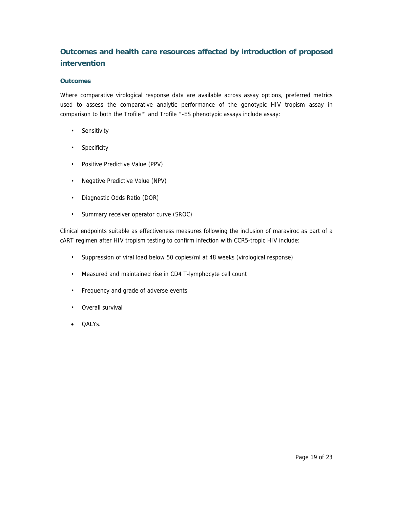# **Outcomes and health care resources affected by introduction of proposed intervention**

## **Outcomes**

Where comparative virological response data are available across assay options, preferred metrics used to assess the comparative analytic performance of the genotypic HIV tropism assay in comparison to both the Trofile™ and Trofile™-ES phenotypic assays include assay:

- Sensitivity
- **Specificity**
- Positive Predictive Value (PPV)
- Negative Predictive Value (NPV)
- Diagnostic Odds Ratio (DOR)
- Summary receiver operator curve (SROC)

Clinical endpoints suitable as effectiveness measures following the inclusion of maraviroc as part of a cART regimen after HIV tropism testing to confirm infection with CCR5-tropic HIV include:

- Suppression of viral load below 50 copies/ml at 48 weeks (virological response)
- Measured and maintained rise in CD4 T-lymphocyte cell count
- Frequency and grade of adverse events
- Overall survival
- OALYs.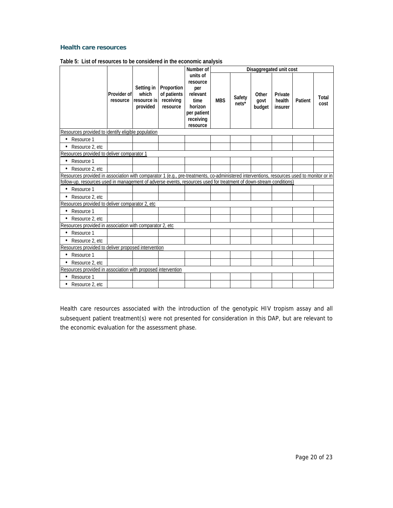#### **Health care resources**

|                                                                                                                                           |                         |                                                |                                                    | Number of                                                                                          |            |                   |                         | Disaggregated unit cost      |         |               |
|-------------------------------------------------------------------------------------------------------------------------------------------|-------------------------|------------------------------------------------|----------------------------------------------------|----------------------------------------------------------------------------------------------------|------------|-------------------|-------------------------|------------------------------|---------|---------------|
|                                                                                                                                           | Provider of<br>resource | Setting in<br>which<br>resource is<br>provided | Proportion<br>of patients<br>receiving<br>resource | units of<br>resource<br>per<br>relevant<br>time<br>horizon<br>per patient<br>receiving<br>resource | <b>MBS</b> | Safety<br>$nets*$ | Other<br>govt<br>budget | Private<br>health<br>insurer | Patient | Total<br>cost |
| Resources provided to identify eligible population                                                                                        |                         |                                                |                                                    |                                                                                                    |            |                   |                         |                              |         |               |
| Resource 1<br>$\bullet$                                                                                                                   |                         |                                                |                                                    |                                                                                                    |            |                   |                         |                              |         |               |
| Resource 2, etc                                                                                                                           |                         |                                                |                                                    |                                                                                                    |            |                   |                         |                              |         |               |
| Resources provided to deliver comparator 1                                                                                                |                         |                                                |                                                    |                                                                                                    |            |                   |                         |                              |         |               |
| Resource 1                                                                                                                                |                         |                                                |                                                    |                                                                                                    |            |                   |                         |                              |         |               |
| Resource 2, etc                                                                                                                           |                         |                                                |                                                    |                                                                                                    |            |                   |                         |                              |         |               |
| Resources provided in association with comparator 1 (e.g., pre-treatments, co-administered interventions, resources used to monitor or in |                         |                                                |                                                    |                                                                                                    |            |                   |                         |                              |         |               |
| follow-up, resources used in management of adverse events, resources used for treatment of down-stream conditions)                        |                         |                                                |                                                    |                                                                                                    |            |                   |                         |                              |         |               |
| Resource 1<br>$\bullet$                                                                                                                   |                         |                                                |                                                    |                                                                                                    |            |                   |                         |                              |         |               |
| Resource 2, etc                                                                                                                           |                         |                                                |                                                    |                                                                                                    |            |                   |                         |                              |         |               |
| Resources provided to deliver comparator 2, etc                                                                                           |                         |                                                |                                                    |                                                                                                    |            |                   |                         |                              |         |               |
| Resource 1<br>$\bullet$                                                                                                                   |                         |                                                |                                                    |                                                                                                    |            |                   |                         |                              |         |               |
| • Resource 2, etc                                                                                                                         |                         |                                                |                                                    |                                                                                                    |            |                   |                         |                              |         |               |
| Resources provided in association with comparator 2, etc                                                                                  |                         |                                                |                                                    |                                                                                                    |            |                   |                         |                              |         |               |
| Resource 1                                                                                                                                |                         |                                                |                                                    |                                                                                                    |            |                   |                         |                              |         |               |
| Resource 2, etc                                                                                                                           |                         |                                                |                                                    |                                                                                                    |            |                   |                         |                              |         |               |
| Resources provided to deliver proposed intervention                                                                                       |                         |                                                |                                                    |                                                                                                    |            |                   |                         |                              |         |               |
| Resource 1<br>$\bullet$                                                                                                                   |                         |                                                |                                                    |                                                                                                    |            |                   |                         |                              |         |               |
| Resource 2, etc                                                                                                                           |                         |                                                |                                                    |                                                                                                    |            |                   |                         |                              |         |               |
| Resources provided in association with proposed intervention                                                                              |                         |                                                |                                                    |                                                                                                    |            |                   |                         |                              |         |               |
| Resource 1<br>٠                                                                                                                           |                         |                                                |                                                    |                                                                                                    |            |                   |                         |                              |         |               |
| Resource 2, etc                                                                                                                           |                         |                                                |                                                    |                                                                                                    |            |                   |                         |                              |         |               |

|--|

Health care resources associated with the introduction of the genotypic HIV tropism assay and all subsequent patient treatment(s) were not presented for consideration in this DAP, but are relevant to the economic evaluation for the assessment phase.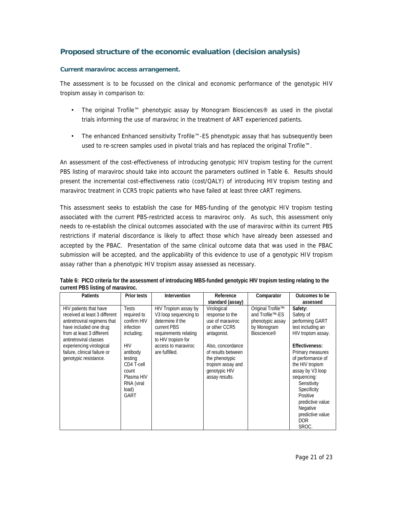## **Proposed structure of the economic evaluation (decision analysis)**

## **Current maraviroc access arrangement.**

The assessment is to be focussed on the clinical and economic performance of the genotypic HIV tropism assay in comparison to:

- The original Trofile™ phenotypic assay by Monogram Biosciences® as used in the pivotal trials informing the use of maraviroc in the treatment of ART experienced patients.
- The enhanced Enhanced sensitivity Trofile™-ES phenotypic assay that has subsequently been used to re-screen samples used in pivotal trials and has replaced the original Trofile™.

An assessment of the cost-effectiveness of introducing genotypic HIV tropism testing for the current PBS listing of maraviroc should take into account the parameters outlined in Table 6. Results should present the incremental cost-effectiveness ratio (cost/QALY) of introducing HIV tropism testing and maraviroc treatment in CCR5 tropic patients who have failed at least three cART regimens.

This assessment seeks to establish the case for MBS-funding of the genotypic HIV tropism testing associated with the current PBS-restricted access to maraviroc only. As such, this assessment only needs to re-establish the clinical outcomes associated with the use of maraviroc within its current PBS restrictions if material discordance is likely to affect those which have already been assessed and accepted by the PBAC. Presentation of the same clinical outcome data that was used in the PBAC submission will be accepted, and the applicability of this evidence to use of a genotypic HIV tropism assay rather than a phenotypic HIV tropism assay assessed as necessary.

| <b>Patients</b>               | Prior tests  | <b>Intervention</b>               | Reference          |                         | Outcomes to be     |
|-------------------------------|--------------|-----------------------------------|--------------------|-------------------------|--------------------|
|                               |              |                                   |                    | Comparator              |                    |
|                               |              |                                   | standard (assay)   |                         | assessed           |
| HIV patients that have        | <b>Tests</b> | HIV Tropism assay by              | Virological        | Original Trofile™       | Safety:            |
| received at least 3 different | required to  | V <sub>3</sub> loop sequencing to | response to the    | and Trofile™-ES         | Safety of          |
| antiretroviral regimens that  | confirm HIV  | determine if the                  | use of maraviroc   | phenotypic assay        | performing GART    |
| have included one drug        | infection    | current PBS                       | or other CCR5      | by Monogram             | test including an  |
| from at least 3 different     | including:   | requirements relating             | antagonist.        | Bioscience <sup>®</sup> | HIV tropism assay. |
| antiretroviral classes        |              | to HIV tropism for                |                    |                         |                    |
| experiencing virological      | <b>HIV</b>   | access to maraviroc               | Also, concordance  |                         | Effectiveness:     |
| failure, clinical failure or  | antibody     | are fulfilled.                    | of results between |                         | Primary measures   |
| genotypic resistance.         | testing      |                                   | the phenotypic     |                         | of performance of  |
|                               | CD4 T-cell   |                                   | tropism assay and  |                         | the HIV tropism    |
|                               | count        |                                   | genotypic HIV      |                         | assay by V3 loop   |
|                               | Plasma HIV   |                                   | assay results.     |                         | sequencing:        |
|                               | RNA (viral   |                                   |                    |                         | Sensitivity        |
|                               | load)        |                                   |                    |                         | Specificity        |
|                               | GART         |                                   |                    |                         | Positive           |
|                               |              |                                   |                    |                         | predictive value   |
|                               |              |                                   |                    |                         | Negative           |
|                               |              |                                   |                    |                         | predictive value   |
|                               |              |                                   |                    |                         | <b>DOR</b>         |
|                               |              |                                   |                    |                         | SROC.              |

**Table 6: PICO criteria for the assessment of introducing MBS-funded genotypic HIV tropism testing relating to the current PBS listing of maraviroc.**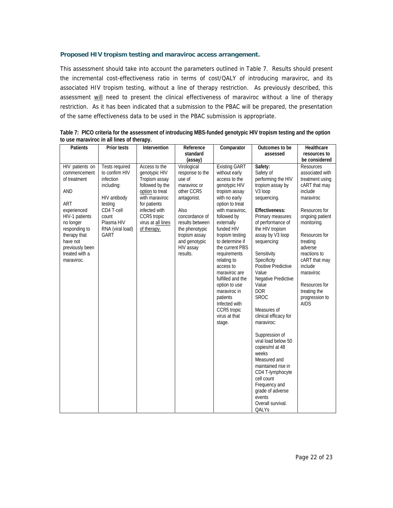## **Proposed HIV tropism testing and maraviroc access arrangement.**

This assessment should take into account the parameters outlined in Table 7. Results should present the incremental cost-effectiveness ratio in terms of cost/QALY of introducing maraviroc, and its associated HIV tropism testing, without a line of therapy restriction. As previously described, this assessment will need to present the clinical effectiveness of maraviroc without a line of therapy restriction. As it has been indicated that a submission to the PBAC will be prepared, the presentation of the same effectiveness data to be used in the PBAC submission is appropriate.

| Patients                                                                                                                                                                                                           | Prior tests                                                                                                                                                    | Intervention                                                                                                                                                                                 | Reference                                                                                                                                                                                                       | Comparator                                                                                                                                                                                                                                                                                                                                                                                                                                    | Outcomes to be                                                                                                                                                                                                                                                                                                                                                                                                                                                                                                                                                                                                                 | Healthcare                                                                                                                                                                                                                                                                                                            |
|--------------------------------------------------------------------------------------------------------------------------------------------------------------------------------------------------------------------|----------------------------------------------------------------------------------------------------------------------------------------------------------------|----------------------------------------------------------------------------------------------------------------------------------------------------------------------------------------------|-----------------------------------------------------------------------------------------------------------------------------------------------------------------------------------------------------------------|-----------------------------------------------------------------------------------------------------------------------------------------------------------------------------------------------------------------------------------------------------------------------------------------------------------------------------------------------------------------------------------------------------------------------------------------------|--------------------------------------------------------------------------------------------------------------------------------------------------------------------------------------------------------------------------------------------------------------------------------------------------------------------------------------------------------------------------------------------------------------------------------------------------------------------------------------------------------------------------------------------------------------------------------------------------------------------------------|-----------------------------------------------------------------------------------------------------------------------------------------------------------------------------------------------------------------------------------------------------------------------------------------------------------------------|
|                                                                                                                                                                                                                    |                                                                                                                                                                |                                                                                                                                                                                              | standard                                                                                                                                                                                                        |                                                                                                                                                                                                                                                                                                                                                                                                                                               | assessed                                                                                                                                                                                                                                                                                                                                                                                                                                                                                                                                                                                                                       | resources to                                                                                                                                                                                                                                                                                                          |
|                                                                                                                                                                                                                    |                                                                                                                                                                |                                                                                                                                                                                              | (assay)                                                                                                                                                                                                         |                                                                                                                                                                                                                                                                                                                                                                                                                                               |                                                                                                                                                                                                                                                                                                                                                                                                                                                                                                                                                                                                                                | be considered                                                                                                                                                                                                                                                                                                         |
| HIV patients on<br>commencement<br>of treatment<br><b>AND</b><br>ART<br>experienced<br>HIV-1 patients<br>no longer<br>responding to<br>therapy that<br>have not<br>previously been<br>treated with a<br>maraviroc. | <b>Tests required</b><br>to confirm HIV<br>infection<br>including:<br>HIV antibody<br>testing<br>CD4 T-cell<br>count<br>Plasma HIV<br>RNA (viral load)<br>GART | Access to the<br>genotypic HIV<br>Tropism assay<br>followed by the<br>option to treat<br>with maraviroc<br>for patients<br>infected with<br>CCR5 tropic<br>virus at all lines<br>of therapy. | Virological<br>response to the<br>use of<br>maraviroc or<br>other CCR5<br>antagonist.<br>Also<br>concordance of<br>results between<br>the phenotypic<br>tropism assay<br>and genotypic<br>HIV assay<br>results. | <b>Existing GART</b><br>without early<br>access to the<br>genotypic HIV<br>tropism assay<br>with no early<br>option to treat<br>with maraviroc.<br>followed by<br>externally<br>funded HIV<br>tropism testing<br>to determine if<br>the current PBS<br>requirements<br>relating to<br>access to<br>maraviroc are<br>fulfilled and the<br>option to use<br>maraviroc in<br>patients<br>Infected with<br>CCR5 tropic<br>virus at that<br>stage. | Safety:<br>Safety of<br>performing the HIV<br>tropism assay by<br>V <sub>3</sub> loop<br>sequencing.<br><b>Effectiveness:</b><br>Primary measures<br>of performance of<br>the HIV tropism<br>assay by V3 loop<br>sequencing:<br>Sensitivity<br>Specificity<br>Positive Predictive<br>Value<br>Negative Predictive<br>Value<br><b>DOR</b><br><b>SROC</b><br>Measures of<br>clinical efficacy for<br>maraviroc:<br>Suppression of<br>viral load below 50<br>copies/ml at 48<br>weeks<br>Measured and<br>maintained rise in<br>CD4 T-lymphocyte<br>cell count<br>Frequency and<br>grade of adverse<br>events<br>Overall survival. | <b>Resources</b><br>associated with<br>treatment using<br>cART that may<br>include<br>maraviroc<br>Resources for<br>ongoing patient<br>monitoring.<br>Resources for<br>treating<br>adverse<br>reactions to<br>cART that may<br>include<br>maraviroc<br>Resources for<br>treating the<br>progression to<br><b>AIDS</b> |
|                                                                                                                                                                                                                    |                                                                                                                                                                |                                                                                                                                                                                              |                                                                                                                                                                                                                 |                                                                                                                                                                                                                                                                                                                                                                                                                                               | QALYs                                                                                                                                                                                                                                                                                                                                                                                                                                                                                                                                                                                                                          |                                                                                                                                                                                                                                                                                                                       |

**Table 7: PICO criteria for the assessment of introducing MBS-funded genotypic HIV tropism testing and the option to use maraviroc in all lines of therapy.**